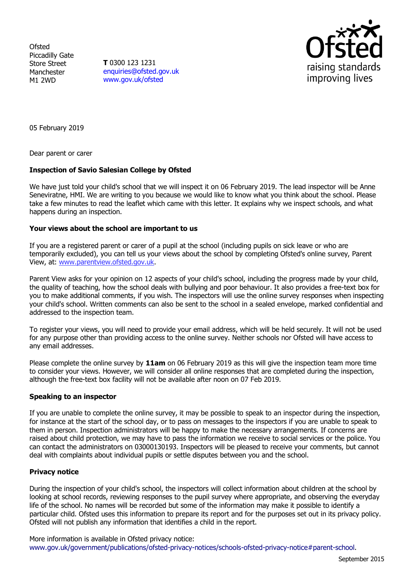**Ofsted** Piccadilly Gate Store Street Manchester M1 2WD

**T** 0300 123 1231 [enquiries@ofsted.gov.uk](mailto:enquiries@ofsted.gov.uk) [www.gov.uk/ofsted](http://www.gov.uk/ofsted)



05 February 2019

Dear parent or carer

# **Inspection of Savio Salesian College by Ofsted**

We have just told your child's school that we will inspect it on 06 February 2019. The lead inspector will be Anne Seneviratne, HMI. We are writing to you because we would like to know what you think about the school. Please take a few minutes to read the leaflet which came with this letter. It explains why we inspect schools, and what happens during an inspection.

## **Your views about the school are important to us**

If you are a registered parent or carer of a pupil at the school (including pupils on sick leave or who are temporarily excluded), you can tell us your views about the school by completing Ofsted's online survey, Parent View, at: [www.parentview.ofsted.gov.uk.](http://www.parentview.ofsted.gov.uk/)

Parent View asks for your opinion on 12 aspects of your child's school, including the progress made by your child, the quality of teaching, how the school deals with bullying and poor behaviour. It also provides a free-text box for you to make additional comments, if you wish. The inspectors will use the online survey responses when inspecting your child's school. Written comments can also be sent to the school in a sealed envelope, marked confidential and addressed to the inspection team.

To register your views, you will need to provide your email address, which will be held securely. It will not be used for any purpose other than providing access to the online survey. Neither schools nor Ofsted will have access to any email addresses.

Please complete the online survey by **11am** on 06 February 2019 as this will give the inspection team more time to consider your views. However, we will consider all online responses that are completed during the inspection, although the free-text box facility will not be available after noon on 07 Feb 2019.

## **Speaking to an inspector**

If you are unable to complete the online survey, it may be possible to speak to an inspector during the inspection, for instance at the start of the school day, or to pass on messages to the inspectors if you are unable to speak to them in person. Inspection administrators will be happy to make the necessary arrangements. If concerns are raised about child protection, we may have to pass the information we receive to social services or the police. You can contact the administrators on 03000130193. Inspectors will be pleased to receive your comments, but cannot deal with complaints about individual pupils or settle disputes between you and the school.

## **Privacy notice**

During the inspection of your child's school, the inspectors will collect information about children at the school by looking at school records, reviewing responses to the pupil survey where appropriate, and observing the everyday life of the school. No names will be recorded but some of the information may make it possible to identify a particular child. Ofsted uses this information to prepare its report and for the purposes set out in its privacy policy. Ofsted will not publish any information that identifies a child in the report.

More information is available in Ofsted privacy notice: [www.gov.uk/government/publications/ofsted-privacy-notices/schools-ofsted-privacy-notice#parent-school.](http://www.gov.uk/government/publications/ofsted-privacy-notices/schools-ofsted-privacy-notice#parent-school)